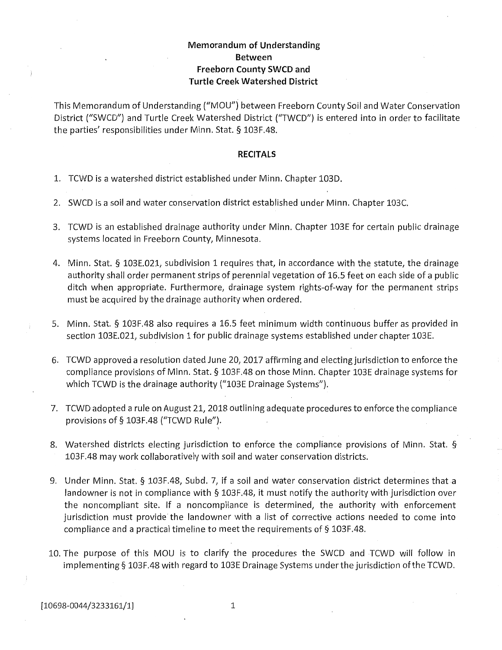#### **Memorandum of Understanding** Between Freeborn County SWCD and **Turtle Creek Watershed District**

This Memorandum of Understanding ("MOU") between Freeborn County Soil and Water Conservation District ("SWCD") and Turtle Creek Watershed District ("TWCD") is entered into in order to facilitate the parties' responsibilities under Minn. Stat. § 103F.48.

#### **RECITALS**

- 1. TCWD is a watershed district established under Minn. Chapter 103D.
- 2. SWCD is a soil and water conservation district established under Minn. Chapter 103C.
- 3. TCWD is an established drainage authority under Minn. Chapter 103E for certain public drainage systems located in Freeborn County, Minnesota.
- 4. Minn. Stat. § 103E.021, subdivision 1 requires that, in accordance with the statute, the drainage authority shall order permanent strips of perennial vegetation of 16.5 feet on each side of a public ditch when appropriate. Furthermore, drainage system rights-of-way for the permanent strips must be acquired by the drainage authority when ordered.
- 5. Minn. Stat. § 103F.48 also requires a 16.5 feet minimum width continuous buffer as provided in section 103E.021, subdivision 1 for public drainage systems established under chapter 103E.
- 6. TCWD approved a resolution dated June 20, 2017 affirming and electing jurisdiction to enforce the compliance provisions of Minn. Stat. § 103F.48 on those Minn. Chapter 103E drainage systems for which TCWD is the drainage authority ("103E Drainage Systems").
- 7. TCWD adopted a rule on August 21, 2018 outlining adequate procedures to enforce the compliance provisions of § 103F.48 ("TCWD Rule").
- 8. Watershed districts electing jurisdiction to enforce the compliance provisions of Minn. Stat. § 103F.48 may work collaboratively with soil and water conservation districts.
- 9. Under Minn. Stat. § 103F.48, Subd. 7, if a soil and water conservation district determines that a landowner is not in compliance with  $\S$  103F.48, it must notify the authority with jurisdiction over the noncompliant site. If a noncompliance is determined, the authority with enforcement jurisdiction must provide the landowner with a list of corrective actions needed to come into compliance and a practical timeline to meet the requirements of  $\S$  103F.48.
- 10. The purpose of this MOU is to clarify the procedures the SWCD and TCWD will follow in implementing § 103F.48 with regard to 103E Drainage Systems under the jurisdiction of the TCWD.

1